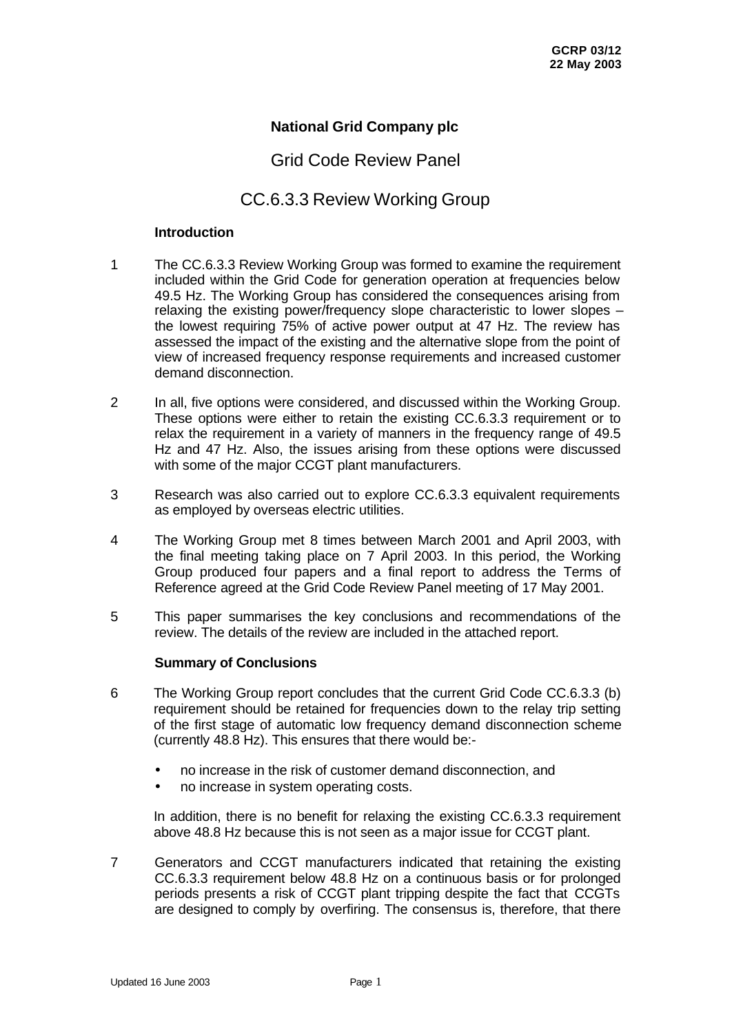## **National Grid Company plc**

# Grid Code Review Panel

# CC.6.3.3 Review Working Group

#### **Introduction**

- 1 The CC.6.3.3 Review Working Group was formed to examine the requirement included within the Grid Code for generation operation at frequencies below 49.5 Hz. The Working Group has considered the consequences arising from relaxing the existing power/frequency slope characteristic to lower slopes – the lowest requiring 75% of active power output at 47 Hz. The review has assessed the impact of the existing and the alternative slope from the point of view of increased frequency response requirements and increased customer demand disconnection.
- 2 In all, five options were considered, and discussed within the Working Group. These options were either to retain the existing CC.6.3.3 requirement or to relax the requirement in a variety of manners in the frequency range of 49.5 Hz and 47 Hz. Also, the issues arising from these options were discussed with some of the major CCGT plant manufacturers.
- 3 Research was also carried out to explore CC.6.3.3 equivalent requirements as employed by overseas electric utilities.
- 4 The Working Group met 8 times between March 2001 and April 2003, with the final meeting taking place on 7 April 2003. In this period, the Working Group produced four papers and a final report to address the Terms of Reference agreed at the Grid Code Review Panel meeting of 17 May 2001.
- 5 This paper summarises the key conclusions and recommendations of the review. The details of the review are included in the attached report.

### **Summary of Conclusions**

- 6 The Working Group report concludes that the current Grid Code CC.6.3.3 (b) requirement should be retained for frequencies down to the relay trip setting of the first stage of automatic low frequency demand disconnection scheme (currently 48.8 Hz). This ensures that there would be:-
	- no increase in the risk of customer demand disconnection, and
	- no increase in system operating costs.

In addition, there is no benefit for relaxing the existing CC.6.3.3 requirement above 48.8 Hz because this is not seen as a major issue for CCGT plant.

7 Generators and CCGT manufacturers indicated that retaining the existing CC.6.3.3 requirement below 48.8 Hz on a continuous basis or for prolonged periods presents a risk of CCGT plant tripping despite the fact that CCGTs are designed to comply by overfiring. The consensus is, therefore, that there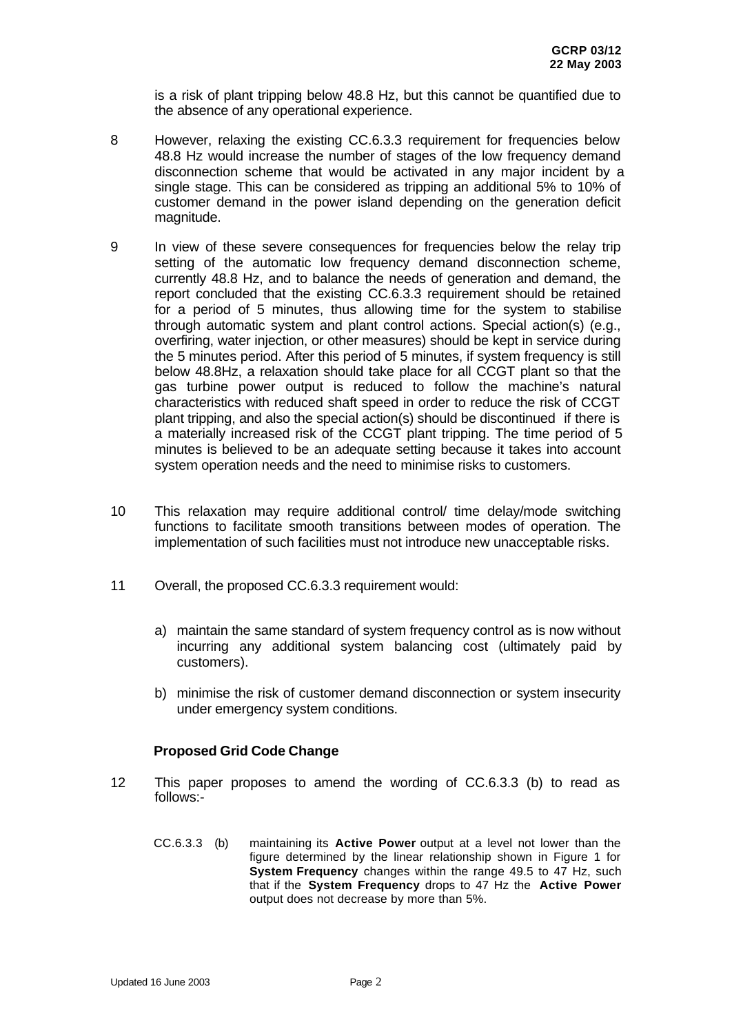is a risk of plant tripping below 48.8 Hz, but this cannot be quantified due to the absence of any operational experience.

- 8 However, relaxing the existing CC.6.3.3 requirement for frequencies below 48.8 Hz would increase the number of stages of the low frequency demand disconnection scheme that would be activated in any major incident by a single stage. This can be considered as tripping an additional 5% to 10% of customer demand in the power island depending on the generation deficit magnitude.
- 9 In view of these severe consequences for frequencies below the relay trip setting of the automatic low frequency demand disconnection scheme, currently 48.8 Hz, and to balance the needs of generation and demand, the report concluded that the existing CC.6.3.3 requirement should be retained for a period of 5 minutes, thus allowing time for the system to stabilise through automatic system and plant control actions. Special action(s) (e.g., overfiring, water injection, or other measures) should be kept in service during the 5 minutes period. After this period of 5 minutes, if system frequency is still below 48.8Hz, a relaxation should take place for all CCGT plant so that the gas turbine power output is reduced to follow the machine's natural characteristics with reduced shaft speed in order to reduce the risk of CCGT plant tripping, and also the special action(s) should be discontinued if there is a materially increased risk of the CCGT plant tripping. The time period of 5 minutes is believed to be an adequate setting because it takes into account system operation needs and the need to minimise risks to customers.
- 10 This relaxation may require additional control/ time delay/mode switching functions to facilitate smooth transitions between modes of operation. The implementation of such facilities must not introduce new unacceptable risks.
- 11 Overall, the proposed CC.6.3.3 requirement would:
	- a) maintain the same standard of system frequency control as is now without incurring any additional system balancing cost (ultimately paid by customers).
	- b) minimise the risk of customer demand disconnection or system insecurity under emergency system conditions.

### **Proposed Grid Code Change**

- 12 This paper proposes to amend the wording of CC.6.3.3 (b) to read as follows:-
	- CC.6.3.3 (b) maintaining its **Active Power** output at a level not lower than the figure determined by the linear relationship shown in Figure 1 for **System Frequency** changes within the range 49.5 to 47 Hz, such that if the **System Frequency** drops to 47 Hz the **Active Power** output does not decrease by more than 5%.